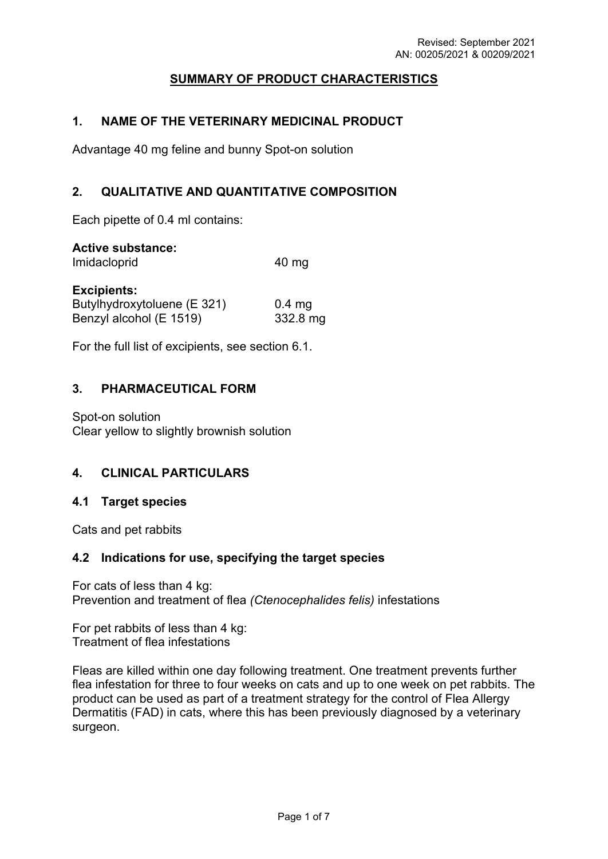# **SUMMARY OF PRODUCT CHARACTERISTICS**

### **1. NAME OF THE VETERINARY MEDICINAL PRODUCT**

Advantage 40 mg feline and bunny Spot-on solution

### **2. QUALITATIVE AND QUANTITATIVE COMPOSITION**

Each pipette of 0.4 ml contains:

### **Active substance:**

Imidacloprid 40 mg

#### **Excipients:**

| ------------<br>Butylhydroxytoluene (E 321) | $0.4$ mg |
|---------------------------------------------|----------|
| Benzyl alcohol (E 1519)                     | 332.8 mg |

For the full list of excipients, see section 6.1.

### **3. PHARMACEUTICAL FORM**

Spot-on solution Clear yellow to slightly brownish solution

## **4. CLINICAL PARTICULARS**

### **4.1 Target species**

Cats and pet rabbits

### **4.2 Indications for use, specifying the target species**

For cats of less than 4 kg: Prevention and treatment of flea *(Ctenocephalides felis)* infestations

For pet rabbits of less than 4 kg: Treatment of flea infestations

Fleas are killed within one day following treatment. One treatment prevents further flea infestation for three to four weeks on cats and up to one week on pet rabbits. The product can be used as part of a treatment strategy for the control of Flea Allergy Dermatitis (FAD) in cats, where this has been previously diagnosed by a veterinary surgeon.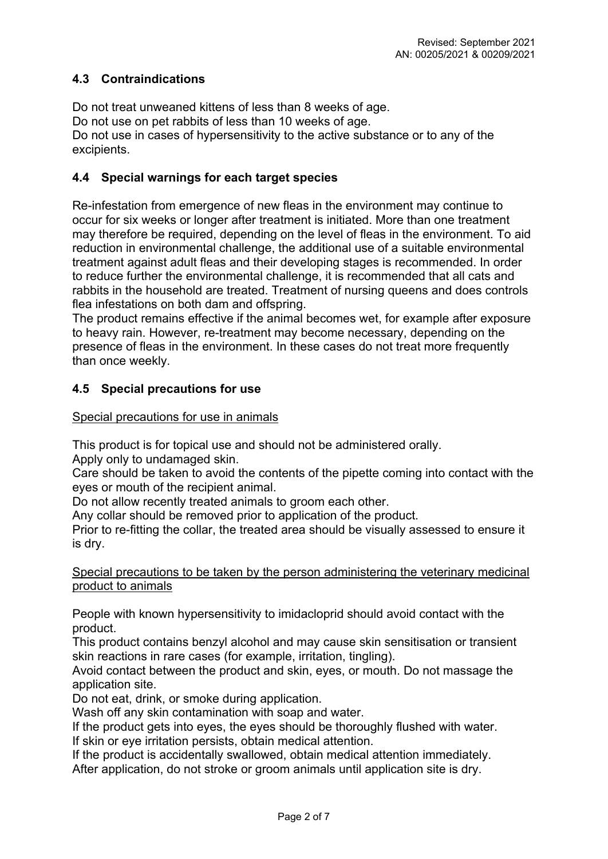# **4.3 Contraindications**

Do not treat unweaned kittens of less than 8 weeks of age. Do not use on pet rabbits of less than 10 weeks of age. Do not use in cases of hypersensitivity to the active substance or to any of the excipients.

### **4.4 Special warnings for each target species**

Re-infestation from emergence of new fleas in the environment may continue to occur for six weeks or longer after treatment is initiated. More than one treatment may therefore be required, depending on the level of fleas in the environment. To aid reduction in environmental challenge, the additional use of a suitable environmental treatment against adult fleas and their developing stages is recommended. In order to reduce further the environmental challenge, it is recommended that all cats and rabbits in the household are treated. Treatment of nursing queens and does controls flea infestations on both dam and offspring.

The product remains effective if the animal becomes wet, for example after exposure to heavy rain. However, re-treatment may become necessary, depending on the presence of fleas in the environment. In these cases do not treat more frequently than once weekly.

### **4.5 Special precautions for use**

Special precautions for use in animals

This product is for topical use and should not be administered orally.

Apply only to undamaged skin.

Care should be taken to avoid the contents of the pipette coming into contact with the eyes or mouth of the recipient animal.

Do not allow recently treated animals to groom each other.

Any collar should be removed prior to application of the product.

Prior to re-fitting the collar, the treated area should be visually assessed to ensure it is dry.

### Special precautions to be taken by the person administering the veterinary medicinal product to animals

People with known hypersensitivity to imidacloprid should avoid contact with the product.

This product contains benzyl alcohol and may cause skin sensitisation or transient skin reactions in rare cases (for example, irritation, tingling).

Avoid contact between the product and skin, eyes, or mouth. Do not massage the application site.

Do not eat, drink, or smoke during application.

Wash off any skin contamination with soap and water.

If the product gets into eyes, the eyes should be thoroughly flushed with water.

If skin or eye irritation persists, obtain medical attention.

If the product is accidentally swallowed, obtain medical attention immediately. After application, do not stroke or groom animals until application site is dry.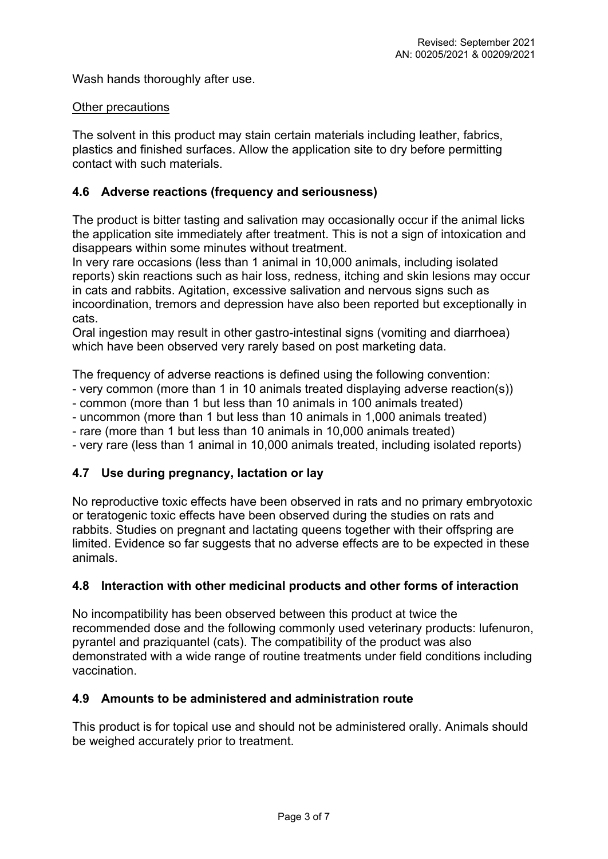Wash hands thoroughly after use.

### Other precautions

The solvent in this product may stain certain materials including leather, fabrics, plastics and finished surfaces. Allow the application site to dry before permitting contact with such materials.

## **4.6 Adverse reactions (frequency and seriousness)**

The product is bitter tasting and salivation may occasionally occur if the animal licks the application site immediately after treatment. This is not a sign of intoxication and disappears within some minutes without treatment.

In very rare occasions (less than 1 animal in 10,000 animals, including isolated reports) skin reactions such as hair loss, redness, itching and skin lesions may occur in cats and rabbits. Agitation, excessive salivation and nervous signs such as incoordination, tremors and depression have also been reported but exceptionally in cats.

Oral ingestion may result in other gastro-intestinal signs (vomiting and diarrhoea) which have been observed very rarely based on post marketing data.

The frequency of adverse reactions is defined using the following convention:

- very common (more than 1 in 10 animals treated displaying adverse reaction(s))
- common (more than 1 but less than 10 animals in 100 animals treated)
- uncommon (more than 1 but less than 10 animals in 1,000 animals treated)
- rare (more than 1 but less than 10 animals in 10,000 animals treated)
- very rare (less than 1 animal in 10,000 animals treated, including isolated reports)

## **4.7 Use during pregnancy, lactation or lay**

No reproductive toxic effects have been observed in rats and no primary embryotoxic or teratogenic toxic effects have been observed during the studies on rats and rabbits. Studies on pregnant and lactating queens together with their offspring are limited. Evidence so far suggests that no adverse effects are to be expected in these animals.

### **4.8 Interaction with other medicinal products and other forms of interaction**

No incompatibility has been observed between this product at twice the recommended dose and the following commonly used veterinary products: lufenuron, pyrantel and praziquantel (cats). The compatibility of the product was also demonstrated with a wide range of routine treatments under field conditions including vaccination.

### **4.9 Amounts to be administered and administration route**

This product is for topical use and should not be administered orally. Animals should be weighed accurately prior to treatment.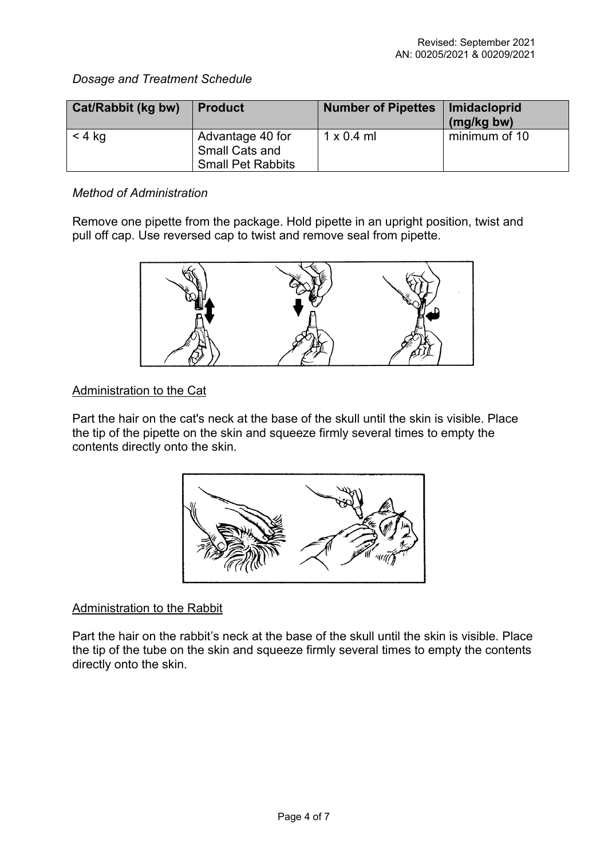# *Dosage and Treatment Schedule*

| Cat/Rabbit (kg bw) | <b>Product</b>                                                        | <b>Number of Pipettes</b> | Imidacloprid<br>(mg/kg bw) |
|--------------------|-----------------------------------------------------------------------|---------------------------|----------------------------|
| $<$ 4 kg           | Advantage 40 for<br><b>Small Cats and</b><br><b>Small Pet Rabbits</b> | $1 \times 0.4$ ml         | minimum of 10              |

## *Method of Administration*

Remove one pipette from the package. Hold pipette in an upright position, twist and pull off cap. Use reversed cap to twist and remove seal from pipette.



# Administration to the Cat

Part the hair on the cat's neck at the base of the skull until the skin is visible. Place the tip of the pipette on the skin and squeeze firmly several times to empty the contents directly onto the skin.



# Administration to the Rabbit

Part the hair on the rabbit's neck at the base of the skull until the skin is visible. Place the tip of the tube on the skin and squeeze firmly several times to empty the contents directly onto the skin.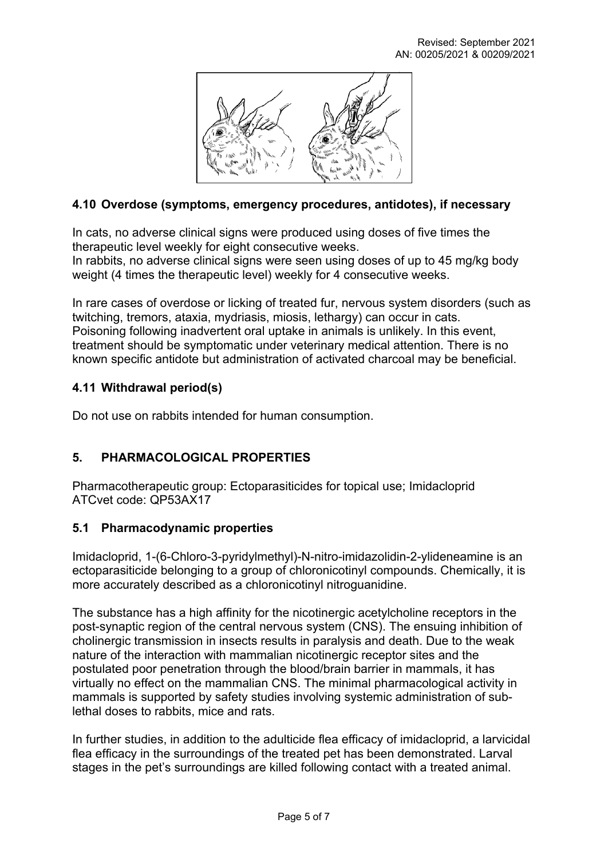

# **4.10 Overdose (symptoms, emergency procedures, antidotes), if necessary**

In cats, no adverse clinical signs were produced using doses of five times the therapeutic level weekly for eight consecutive weeks.

In rabbits, no adverse clinical signs were seen using doses of up to 45 mg/kg body weight (4 times the therapeutic level) weekly for 4 consecutive weeks.

In rare cases of overdose or licking of treated fur, nervous system disorders (such as twitching, tremors, ataxia, mydriasis, miosis, lethargy) can occur in cats. Poisoning following inadvertent oral uptake in animals is unlikely. In this event, treatment should be symptomatic under veterinary medical attention. There is no known specific antidote but administration of activated charcoal may be beneficial.

## **4.11 Withdrawal period(s)**

Do not use on rabbits intended for human consumption.

# **5. PHARMACOLOGICAL PROPERTIES**

Pharmacotherapeutic group: Ectoparasiticides for topical use; Imidacloprid ATCvet code: QP53AX17

## **5.1 Pharmacodynamic properties**

Imidacloprid, 1-(6-Chloro-3-pyridylmethyl)-N-nitro-imidazolidin-2-ylideneamine is an ectoparasiticide belonging to a group of chloronicotinyl compounds. Chemically, it is more accurately described as a chloronicotinyl nitroguanidine.

The substance has a high affinity for the nicotinergic acetylcholine receptors in the post-synaptic region of the central nervous system (CNS). The ensuing inhibition of cholinergic transmission in insects results in paralysis and death. Due to the weak nature of the interaction with mammalian nicotinergic receptor sites and the postulated poor penetration through the blood/brain barrier in mammals, it has virtually no effect on the mammalian CNS. The minimal pharmacological activity in mammals is supported by safety studies involving systemic administration of sublethal doses to rabbits, mice and rats.

In further studies, in addition to the adulticide flea efficacy of imidacloprid, a larvicidal flea efficacy in the surroundings of the treated pet has been demonstrated. Larval stages in the pet's surroundings are killed following contact with a treated animal.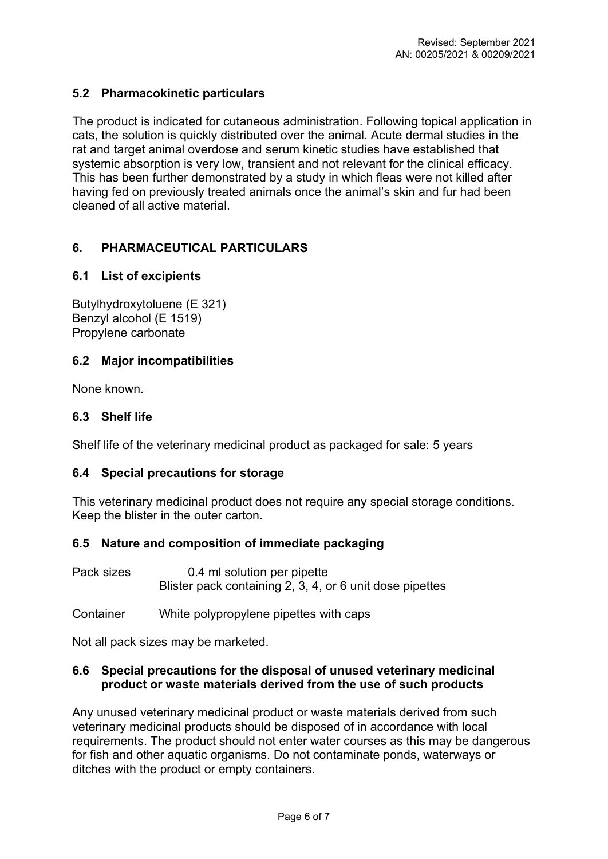# **5.2 Pharmacokinetic particulars**

The product is indicated for cutaneous administration. Following topical application in cats, the solution is quickly distributed over the animal. Acute dermal studies in the rat and target animal overdose and serum kinetic studies have established that systemic absorption is very low, transient and not relevant for the clinical efficacy. This has been further demonstrated by a study in which fleas were not killed after having fed on previously treated animals once the animal's skin and fur had been cleaned of all active material.

## **6. PHARMACEUTICAL PARTICULARS**

## **6.1 List of excipients**

Butylhydroxytoluene (E 321) Benzyl alcohol (E 1519) Propylene carbonate

### **6.2 Major incompatibilities**

None known.

## **6.3 Shelf life**

Shelf life of the veterinary medicinal product as packaged for sale: 5 years

## **6.4 Special precautions for storage**

This veterinary medicinal product does not require any special storage conditions. Keep the blister in the outer carton.

## **6.5 Nature and composition of immediate packaging**

Pack sizes 0.4 ml solution per pipette Blister pack containing 2, 3, 4, or 6 unit dose pipettes

Container White polypropylene pipettes with caps

Not all pack sizes may be marketed.

### **6.6 Special precautions for the disposal of unused veterinary medicinal product or waste materials derived from the use of such products**

Any unused veterinary medicinal product or waste materials derived from such veterinary medicinal products should be disposed of in accordance with local requirements. The product should not enter water courses as this may be dangerous for fish and other aquatic organisms. Do not contaminate ponds, waterways or ditches with the product or empty containers.